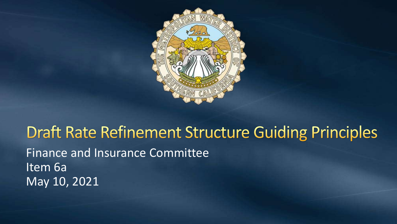

### **Draft Rate Refinement Structure Guiding Principles** Finance and Insurance Committee Item 6a May 10, 2021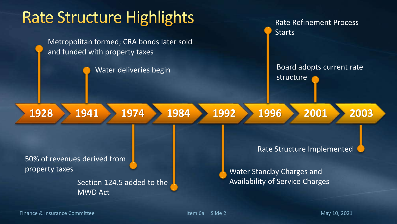

Finance & Insurance Committee **Item 6a** Slide 2 May 10, 2021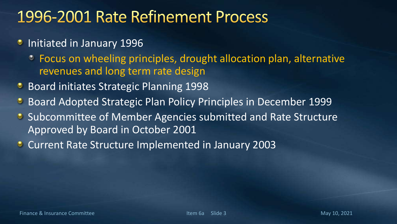## 1996-2001 Rate Refinement Process

- **Initiated in January 1996** 
	- Focus on wheeling principles, drought allocation plan, alternative revenues and long term rate design
- **Board initiates Strategic Planning 1998**
- Board Adopted Strategic Plan Policy Principles in December 1999  $\bullet$
- **Subcommittee of Member Agencies submitted and Rate Structure** Approved by Board in October 2001
- **Current Rate Structure Implemented in January 2003**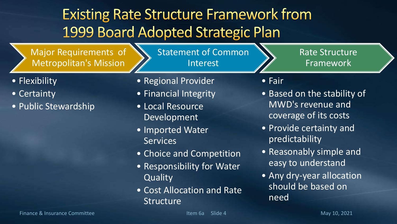# **Existing Rate Structure Framework from** 1999 Board Adopted Strategic Plan

Major Requirements of Metropolitan's Mission

Statement of Common Interest

Rate Structure Framework

- Flexibility
- Certainty
- Public Stewardship
- Regional Provider
- Financial Integrity
- Local Resource Development
- Imported Water **Services**
- Choice and Competition
- Responsibility for Water **Quality**
- Cost Allocation and Rate Structure
- Fair
- Based on the stability of MWD's revenue and coverage of its costs
- Provide certainty and predictability
- Reasonably simple and easy to understand
- Any dry-year allocation should be based on need

Finance & Insurance Committee **Item 6a** Slide 4 May 10, 2021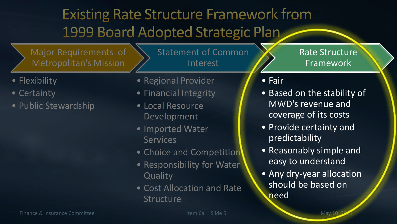# **Existing Rate Structure Framework from** 1999 Board Adopted Strategic Plan

Major Requirements of Metropolitan's Mission

Statement of Common Interest

- Flexibility
- Certainty
- Public Stewardship
- Regional Provider
- Financial Integrity
- Local Resource Development
- Imported Water **Services**
- Choice and Competition
- Responsibility for Water **Quality**
- Cost Allocation and Rate **Structure**

Rate Structure Framework

### • Fair

- Based on the stability of MWD's revenue and coverage of its costs
- Provide certainty and predictability
- Reasonably simple and easy to understand
- Any dry-year allocation should be based on need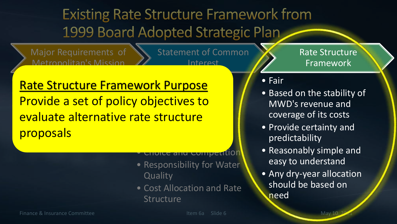# **Existing Rate Structure Framework from** 1999 Board Adopted Strategic Plan

Major Requirements of Metropolitan's Mission

Statement of Common Interest

Rate Structure Framework

#### Rate Structure Framework Purpose  $\frac{1}{2}$ <mark>Fluviue d'Set (</mark> <u>• Financial Integrity</u><br>Integrity of the United States Provide a set of policy objectives to evaluate alternative rate structure proposals

• Choice and Competition

- Responsibility for Water **Quality**
- Cost Allocation and Rate Structure

#### • Fair

- Based on the stability of MWD's revenue and coverage of its costs
- Provide certainty and predictability
- Reasonably simple and easy to understand
- Any dry-year allocation should be based on need

Finance & Insurance Committee Item 6a Slide 6 May 10, 2021 May 10, 2021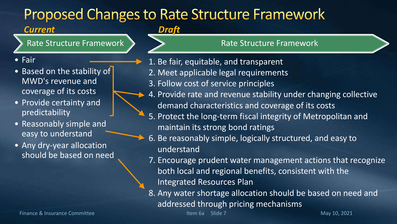### **Proposed Changes to Rate Structure Framework**

### *Current*

Rate Structure Framework

- Fair
- Based on the stability of MWD's revenue and coverage of its costs
- Provide certainty and predictability
- Reasonably simple and easy to understand
- Any dry-year allocation should be based on need

#### *Draft*

#### Rate Structure Framework

- 1. Be fair, equitable, and transparent
- 2. Meet applicable legal requirements
- 3. Follow cost of service principles
- 4. Provide rate and revenue stability under changing collective demand characteristics and coverage of its costs
	- 5. Protect the long‐term fiscal integrity of Metropolitan and maintain its strong bond ratings
	- 6. Be reasonably simple, logically structured, and easy to understand
	- 7. Encourage prudent water management actions that recognize both local and regional benefits, consistent with the Integrated Resources Plan
	- 8. Any water shortage allocation should be based on need and addressed through pricing mechanisms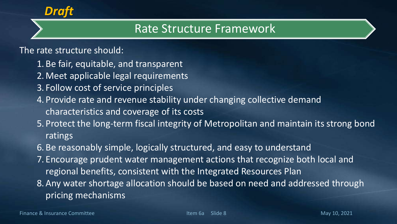

### Rate Structure Framework

### The rate structure should:

- 1. Be fair, equitable, and transparent
- 2. Meet applicable legal requirements
- 3. Follow cost of service principles
- 4. Provide rate and revenue stability under changing collective demand characteristics and coverage of its costs
- 5. Protect the long‐term fiscal integrity of Metropolitan and maintain its strong bond ratings
- 6. Be reasonably simple, logically structured, and easy to understand
- 7. Encourage prudent water management actions that recognize both local and regional benefits, consistent with the Integrated Resources Plan
- 8.Any water shortage allocation should be based on need and addressed through pricing mechanisms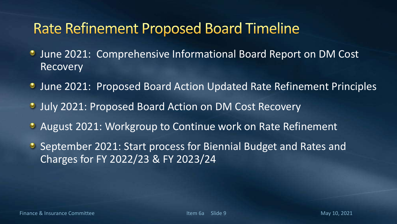### **Rate Refinement Proposed Board Timeline**

- **June 2021: Comprehensive Informational Board Report on DM Cost** Recovery
- **June 2021: Proposed Board Action Updated Rate Refinement Principles**
- **July 2021: Proposed Board Action on DM Cost Recovery**
- August 2021: Workgroup to Continue work on Rate Refinement
- **•** September 2021: Start process for Biennial Budget and Rates and Charges for FY 2022/23 & FY 2023/24